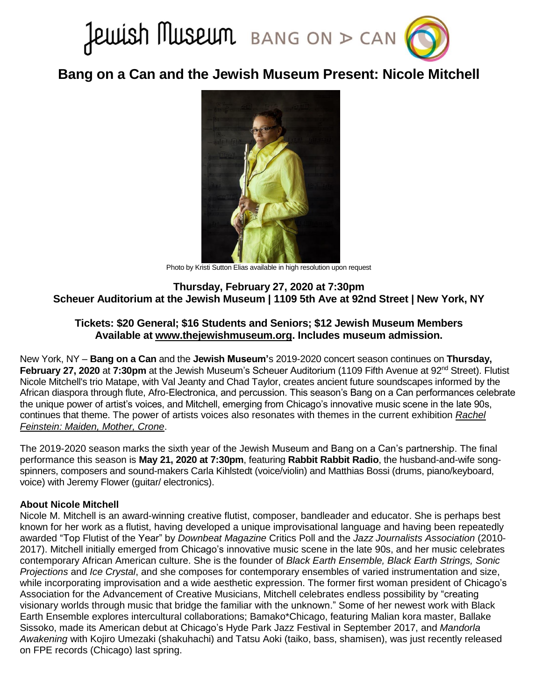

**Bang on a Can and the Jewish Museum Present: Nicole Mitchell**



Photo by Kristi Sutton Elias available in high resolution upon request

**Thursday, February 27, 2020 at 7:30pm Scheuer Auditorium at the Jewish Museum | 1109 5th Ave at 92nd Street | New York, NY**

# **Tickets: \$20 General; \$16 Students and Seniors; \$12 Jewish Museum Members Available at [www.thejewishmuseum.org.](https://thejewishmuseum.org/calendar/events/2020/02/27/performance-nicole-mitchell-022720) Includes museum admission.**

New York, NY – **Bang on a Can** and the **Jewish Museum'**s 2019-2020 concert season continues on **Thursday, February 27, 2020** at **7:30pm** at the Jewish Museum's Scheuer Auditorium (1109 Fifth Avenue at 92<sup>nd</sup> Street). Flutist Nicole Mitchell's trio Matape, with Val Jeanty and Chad Taylor, creates ancient future soundscapes informed by the African diaspora through flute, Afro-Electronica, and percussion. This season's Bang on a Can performances celebrate the unique power of artist's voices, and Mitchell, emerging from Chicago's innovative music scene in the late 90s, continues that theme. The power of artists voices also resonates with themes in the current exhibition *[Rachel](https://thejewishmuseum.org/exhibitions/rachel-feinstein-maiden-mother-crone)  [Feinstein: Maiden, Mother, Crone](https://thejewishmuseum.org/exhibitions/rachel-feinstein-maiden-mother-crone)*.

The 2019-2020 season marks the sixth year of the Jewish Museum and Bang on a Can's partnership. The final performance this season is **May 21, 2020 at 7:30pm**, featuring **Rabbit Rabbit Radio**, the husband-and-wife songspinners, composers and sound-makers Carla Kihlstedt (voice/violin) and Matthias Bossi (drums, piano/keyboard, voice) with Jeremy Flower (guitar/ electronics).

## **About Nicole Mitchell**

Nicole M. Mitchell is an award-winning creative flutist, composer, bandleader and educator. She is perhaps best known for her work as a flutist, having developed a unique improvisational language and having been repeatedly awarded "Top Flutist of the Year" by *Downbeat Magazine* Critics Poll and the *Jazz Journalists Association* (2010- 2017). Mitchell initially emerged from Chicago's innovative music scene in the late 90s, and her music celebrates contemporary African American culture. She is the founder of *Black Earth Ensemble, Black Earth Strings, Sonic Projections* and *Ice Crystal*, and she composes for contemporary ensembles of varied instrumentation and size, while incorporating improvisation and a wide aesthetic expression. The former first woman president of Chicago's Association for the Advancement of Creative Musicians, Mitchell celebrates endless possibility by "creating visionary worlds through music that bridge the familiar with the unknown." Some of her newest work with Black Earth Ensemble explores intercultural collaborations; Bamako\*Chicago, featuring Malian kora master, Ballake Sissoko, made its American debut at Chicago's Hyde Park Jazz Festival in September 2017, and *Mandorla Awakening* with Kojiro Umezaki (shakuhachi) and Tatsu Aoki (taiko, bass, shamisen), was just recently released on FPE records (Chicago) last spring.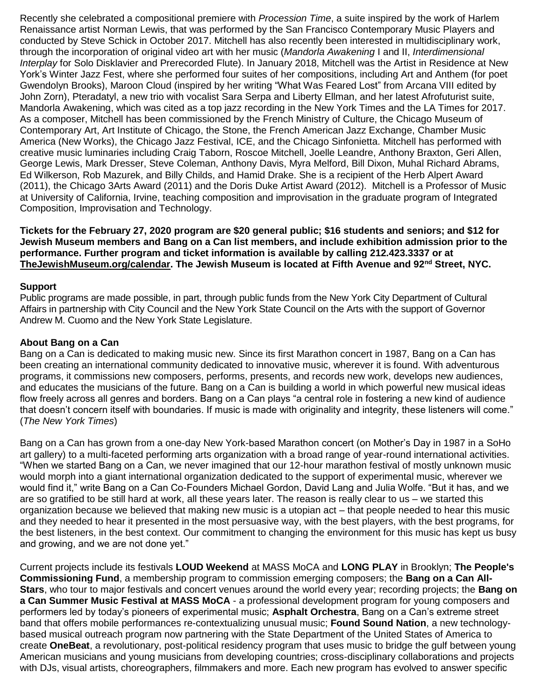Recently she celebrated a compositional premiere with *Procession Time*, a suite inspired by the work of Harlem Renaissance artist Norman Lewis, that was performed by the San Francisco Contemporary Music Players and conducted by Steve Schick in October 2017. Mitchell has also recently been interested in multidisciplinary work, through the incorporation of original video art with her music (*Mandorla Awakening* I and II, *Interdimensional Interplay* for Solo Disklavier and Prerecorded Flute). In January 2018, Mitchell was the Artist in Residence at New York's Winter Jazz Fest, where she performed four suites of her compositions, including Art and Anthem (for poet Gwendolyn Brooks), Maroon Cloud (inspired by her writing "What Was Feared Lost" from Arcana VIII edited by John Zorn), Pteradatyl, a new trio with vocalist Sara Serpa and Liberty Ellman, and her latest Afrofuturist suite, Mandorla Awakening, which was cited as a top jazz recording in the New York Times and the LA Times for 2017. As a composer, Mitchell has been commissioned by the French Ministry of Culture, the Chicago Museum of Contemporary Art, Art Institute of Chicago, the Stone, the French American Jazz Exchange, Chamber Music America (New Works), the Chicago Jazz Festival, ICE, and the Chicago Sinfonietta. Mitchell has performed with creative music luminaries including Craig Taborn, Roscoe Mitchell, Joelle Leandre, Anthony Braxton, Geri Allen, George Lewis, Mark Dresser, Steve Coleman, Anthony Davis, Myra Melford, Bill Dixon, Muhal Richard Abrams, Ed Wilkerson, Rob Mazurek, and Billy Childs, and Hamid Drake. She is a recipient of the Herb Alpert Award (2011), the Chicago 3Arts Award (2011) and the Doris Duke Artist Award (2012). Mitchell is a Professor of Music at University of California, Irvine, teaching composition and improvisation in the graduate program of Integrated Composition, Improvisation and Technology.

**Tickets for the February 27, 2020 program are \$20 general public; \$16 students and seniors; and \$12 for Jewish Museum members and Bang on a Can list members, and include exhibition admission prior to the performance. Further program and ticket information is available by calling 212.423.3337 or at [TheJewishMuseum.org/calendar.](http://thejewishmuseum.org/calendar) The Jewish Museum is located at Fifth Avenue and 92nd Street, NYC.**

#### **Support**

Public programs are made possible, in part, through public funds from the New York City Department of Cultural Affairs in partnership with City Council and the New York State Council on the Arts with the support of Governor Andrew M. Cuomo and the New York State Legislature.

## **About Bang on a Can**

Bang on a Can is dedicated to making music new. Since its first Marathon concert in 1987, Bang on a Can has been creating an international community dedicated to innovative music, wherever it is found. With adventurous programs, it commissions new composers, performs, presents, and records new work, develops new audiences, and educates the musicians of the future. Bang on a Can is building a world in which powerful new musical ideas flow freely across all genres and borders. Bang on a Can plays "a central role in fostering a new kind of audience that doesn't concern itself with boundaries. If music is made with originality and integrity, these listeners will come." (*The New York Times*)

Bang on a Can has grown from a one-day New York-based Marathon concert (on Mother's Day in 1987 in a SoHo art gallery) to a multi-faceted performing arts organization with a broad range of year-round international activities. "When we started Bang on a Can, we never imagined that our 12-hour marathon festival of mostly unknown music would morph into a giant international organization dedicated to the support of experimental music, wherever we would find it," write Bang on a Can Co-Founders Michael Gordon, David Lang and Julia Wolfe. "But it has, and we are so gratified to be still hard at work, all these years later. The reason is really clear to us – we started this organization because we believed that making new music is a utopian act – that people needed to hear this music and they needed to hear it presented in the most persuasive way, with the best players, with the best programs, for the best listeners, in the best context. Our commitment to changing the environment for this music has kept us busy and growing, and we are not done yet."

Current projects include its festivals **LOUD Weekend** at MASS MoCA and **LONG PLAY** in Brooklyn; **The People's Commissioning Fund**, a membership program to commission emerging composers; the **Bang on a Can All-Stars**, who tour to major festivals and concert venues around the world every year; recording projects; the **Bang on a Can Summer Music Festival at MASS MoCA** - a professional development program for young composers and performers led by today's pioneers of experimental music; **Asphalt Orchestra**, Bang on a Can's extreme street band that offers mobile performances re-contextualizing unusual music; **Found Sound Nation**, a new technologybased musical outreach program now partnering with the State Department of the United States of America to create **OneBeat**, a revolutionary, post-political residency program that uses music to bridge the gulf between young American musicians and young musicians from developing countries; cross-disciplinary collaborations and projects with DJs, visual artists, choreographers, filmmakers and more. Each new program has evolved to answer specific